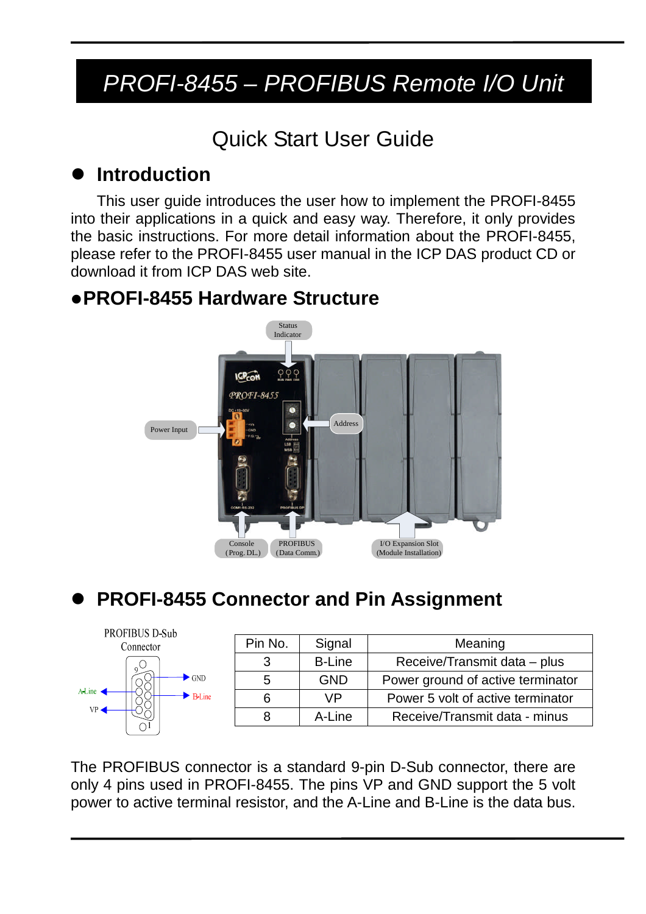## *PROFI-8455 – PROFIBUS Remote I/O Unit*

### Quick Start User Guide

#### **Introduction**

This user guide introduces the user how to implement the PROFI-8455 into their applications in a quick and easy way. Therefore, it only provides the basic instructions. For more detail information about the PROFI-8455, please refer to the PROFI-8455 user manual in the ICP DAS product CD or download it from ICP DAS web site.

#### **PROFI-8455 Hardware Structure**



#### **PROFI-8455 Connector and Pin Assignment**



| Pin No. | Signal        | Meaning                           |  |
|---------|---------------|-----------------------------------|--|
| 3       | <b>B-Line</b> | Receive/Transmit data - plus      |  |
| 5       | <b>GND</b>    | Power ground of active terminator |  |
| 6       | VP            | Power 5 volt of active terminator |  |
|         | A-Line        | Receive/Transmit data - minus     |  |

The PROFIBUS connector is a standard 9-pin D-Sub connector, there are only 4 pins used in PROFI-8455. The pins VP and GND support the 5 volt power to active terminal resistor, and the A-Line and B-Line is the data bus.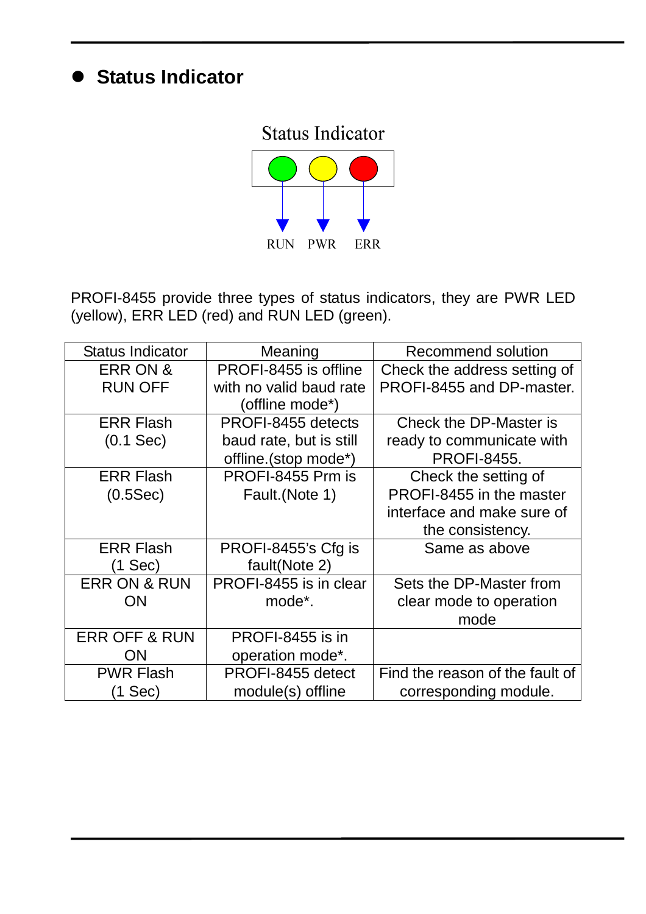#### **Status Indicator**

# **Status Indicator** RUN PWR ERR

PROFI-8455 provide three types of status indicators, they are PWR LED (yellow), ERR LED (red) and RUN LED (green).

| <b>Status Indicator</b>  | Meaning                 | Recommend solution              |
|--------------------------|-------------------------|---------------------------------|
| <b>ERR ON &amp;</b>      | PROFI-8455 is offline   | Check the address setting of    |
| <b>RUN OFF</b>           | with no valid baud rate | PROFI-8455 and DP-master.       |
|                          | (offline mode*)         |                                 |
| <b>ERR Flash</b>         | PROFI-8455 detects      | Check the DP-Master is          |
| $(0.1$ Sec $)$           | baud rate, but is still | ready to communicate with       |
|                          | offline.(stop mode*)    | <b>PROFI-8455.</b>              |
| <b>ERR Flash</b>         | PROFI-8455 Prm is       | Check the setting of            |
| (0.5Sec)                 | Fault.(Note 1)          | PROFI-8455 in the master        |
|                          |                         | interface and make sure of      |
|                          |                         | the consistency.                |
| <b>ERR Flash</b>         | PROFI-8455's Cfg is     | Same as above                   |
| (1 Sec)                  | fault(Note 2)           |                                 |
| <b>ERR ON &amp; RUN</b>  | PROFI-8455 is in clear  | Sets the DP-Master from         |
| <b>ON</b>                | mode <sup>*</sup> .     | clear mode to operation         |
|                          |                         | mode                            |
| <b>ERR OFF &amp; RUN</b> | PROFI-8455 is in        |                                 |
| ON                       | operation mode*.        |                                 |
| <b>PWR Flash</b>         | PROFI-8455 detect       | Find the reason of the fault of |
| $(1$ Sec $)$             | module(s) offline       | corresponding module.           |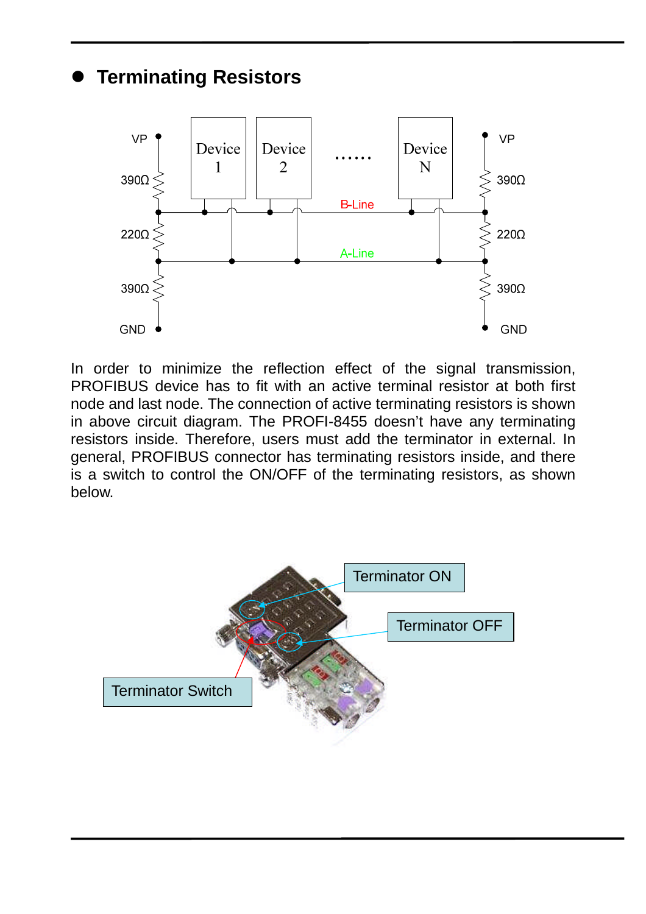#### **Terminating Resistors**



In order to minimize the reflection effect of the signal transmission, PROFIBUS device has to fit with an active terminal resistor at both first node and last node. The connection of active terminating resistors is shown in above circuit diagram. The PROFI-8455 doesn't have any terminating resistors inside. Therefore, users must add the terminator in external. In general, PROFIBUS connector has terminating resistors inside, and there is a switch to control the ON/OFF of the terminating resistors, as shown below.